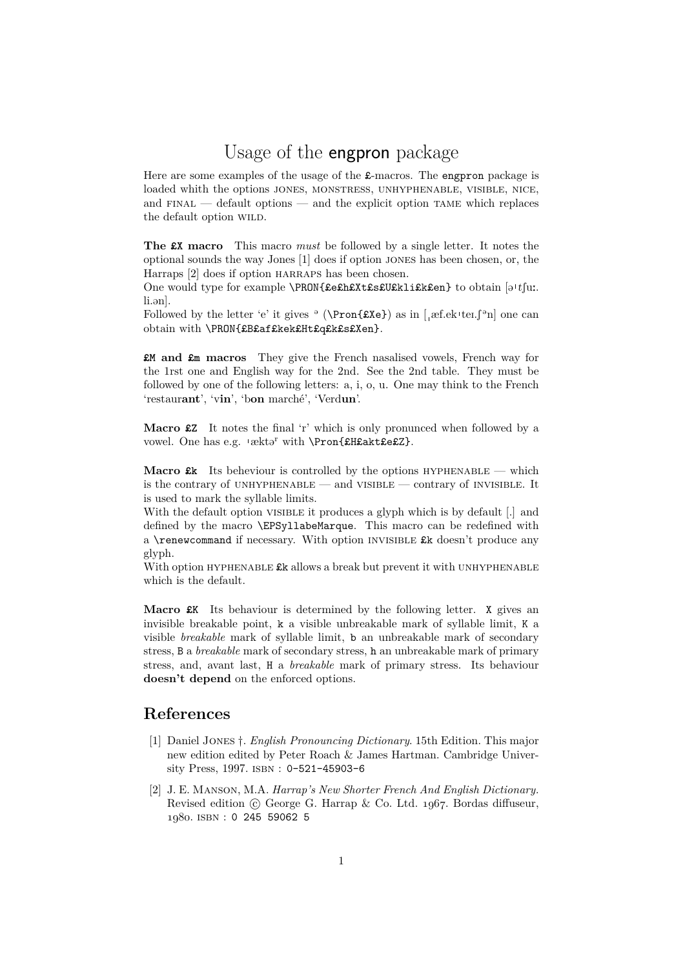## Usage of the engpron package

Here are some examples of the usage of the  $\pounds$ -macros. The engpron package is loaded whith the options JONES, MONSTRESS, UNHYPHENABLE, VISIBLE, NICE, and  $FINAL$  — default options — and the explicit option TAME which replaces the default option WILD.

**The** £X **macro** This macro *must* be followed by a single letter. It notes the optional sounds the way Jones [1] does if option jones has been chosen, or, the Harraps [2] does if option harraps has been chosen.

One would type for example  $\PRON{EefhEXtEstUklist\text{Sen}}$  to obtain [a't[u..] li ən].

Followed by the letter 'e' it gives  $\circ$  (\Pron{£Xe}) as in [,  $\text{ef.ek}$ 'tei. $\int$  $\circ$ n] one can obtain with \PRON{£B£af£kek£Ht£q£k£s£Xen}.

£M **and** £m **macros** They give the French nasalised vowels, French way for the 1rst one and English way for the 2nd. See the 2nd table. They must be followed by one of the following letters: a, i, o, u. One may think to the French 'restaur**ant**', 'v**in**', 'b**on** marché', 'Verd**un**'.

**Macro** £Z It notes the final 'r' which is only pronunced when followed by a vowel. One has e.g. 'ækta' with \Pron{£H£akt£e£Z}.

**Macro**  $x$ k Its beheviour is controlled by the options HYPHENABLE — which is the contrary of UNHYPHENABLE — and VISIBLE — contrary of INVISIBLE. It is used to mark the syllable limits.

With the default option VISIBLE it produces a glyph which is by default [.] and defined by the macro \EPSyllabeMarque. This macro can be redefined with a  $\Gamma$  is a command if necessary. With option INVISIBLE  $\&$  doesn't produce any glyph.

With option HYPHENABLE  $\pounds k$  allows a break but prevent it with UNHYPHENABLE which is the default.

**Macro**  $xK$  Its behaviour is determined by the following letter. X gives an invisible breakable point, k a visible unbreakable mark of syllable limit, K a visible *breakable* mark of syllable limit, b an unbreakable mark of secondary stress, B a *breakable* mark of secondary stress, h an unbreakable mark of primary stress, and, avant last, H a *breakable* mark of primary stress. Its behaviour **doesn't depend** on the enforced options.

## **References**

- [1] Daniel Jones *†*. *English Pronouncing Dictionary*. 15th Edition. This major new edition edited by Peter Roach & James Hartman. Cambridge University Press, 1997. ISBN: 0-521-45903-6
- [2] J. E. Manson, M.A. *Harrap's New Shorter French And English Dictionary.* Revised edition *C* George G. Harrap & Co. Ltd. 1967. Bordas diffuseur, *1980*. isbn : 0 245 59062 5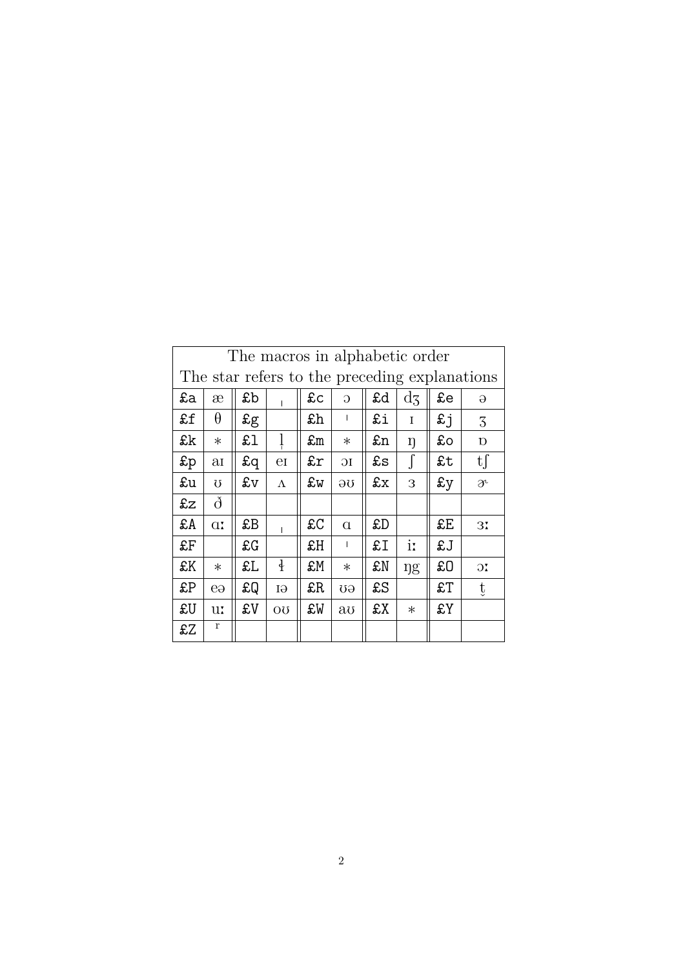| The macros in alphabetic order                |              |             |               |    |                |    |               |             |                     |  |  |
|-----------------------------------------------|--------------|-------------|---------------|----|----------------|----|---------------|-------------|---------------------|--|--|
| The star refers to the preceding explanations |              |             |               |    |                |    |               |             |                     |  |  |
| £a                                            | æ            | £b          |               | £c | $\overline{O}$ | £d | $\mathrm{d}z$ | £e          | $\Theta$            |  |  |
| £f                                            | $\theta$     | $g_{\rm g}$ |               | £h |                | £i | T             | £j          | 3                   |  |  |
| £k                                            | $\ast$       | £l          |               | £m | $\ast$         | £n | ŋ             | £o          | Ŋ                   |  |  |
| $\mathfrak{sp}$                               | aı           | £q          | $_{\rm eI}$   | £r | Ю              | £s | $\int$        | £t          | tf                  |  |  |
| £u                                            | Ω            | £v          | $\Lambda$     | £w | θÛ             | £x | 3             | $\pounds y$ | $\partial^{\iota}$  |  |  |
| £z                                            | ð            |             |               |    |                |    |               |             |                     |  |  |
| £A                                            | $\alpha$     | £B          |               | £C | $\alpha$       | £D |               | £E          | 31                  |  |  |
| £F                                            |              | £G          |               | £H | $\mathbf{I}$   | £I | iː            | £J          |                     |  |  |
| £K                                            | $\ast$       | £L          | $\frac{1}{2}$ | £M | $\ast$         | £N | <b>ng</b>     | £O          | $\overline{\rm 30}$ |  |  |
| £P                                            | $e_{\theta}$ | £Q          | IЭ            | £R | σĐ             | £S |               | £T          | ţ                   |  |  |
| £U                                            | uː           | £V          | <b>OU</b>     | £W | aυ             | £X | $\ast$        | £Y          |                     |  |  |
| £Z                                            | r            |             |               |    |                |    |               |             |                     |  |  |